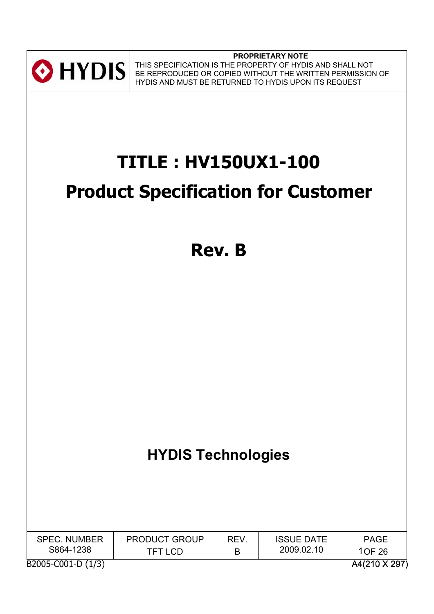

**PROPRIETARY NOTE** THIS SPECIFICATION IS THE PROPERTY OF HYDIS AND SHALL NOT BE REPRODUCED OR COPIED WITHOUT THE WRITTEN PERMISSION OF HYDIS AND MUST BE RETURNED TO HYDIS UPON ITS REQUEST

# **TITLE : HV150UX1-100**

# **Product Specification for Customer**

**Rev. B**

# **HYDIS Technologies**

| <b>SPEC. NUMBER</b> | <b>PRODUCT GROUP</b> | <b>REV</b> | <b>ISSUE DATE</b> | <b>PAGE</b>   |
|---------------------|----------------------|------------|-------------------|---------------|
| S864-1238           | TFT LCD              | B          | 2009.02.10        | 1OF 26        |
| B2005-C001-D (1/3)  |                      |            |                   | A4(210 X 297) |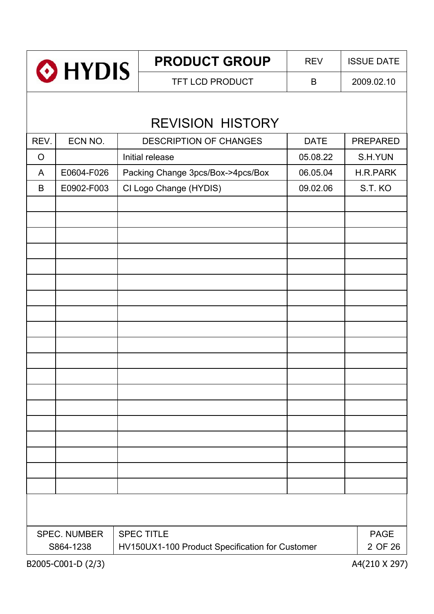| <b>O</b> HYDIS                                                                     |                     |  | <b>PRODUCT GROUP</b>                            | <b>REV</b> | <b>ISSUE DATE</b> |  |  |  |  |
|------------------------------------------------------------------------------------|---------------------|--|-------------------------------------------------|------------|-------------------|--|--|--|--|
|                                                                                    |                     |  | <b>TFT LCD PRODUCT</b>                          | B          | 2009.02.10        |  |  |  |  |
|                                                                                    |                     |  | <b>REVISION HISTORY</b>                         |            |                   |  |  |  |  |
| REV.<br>ECN NO.<br><b>DESCRIPTION OF CHANGES</b><br><b>PREPARED</b><br><b>DATE</b> |                     |  |                                                 |            |                   |  |  |  |  |
| $\circ$                                                                            |                     |  | Initial release                                 | 05.08.22   | S.H.YUN           |  |  |  |  |
| A                                                                                  | E0604-F026          |  | Packing Change 3pcs/Box->4pcs/Box               | 06.05.04   | <b>H.R.PARK</b>   |  |  |  |  |
| B                                                                                  | E0902-F003          |  | CI Logo Change (HYDIS)                          | 09.02.06   | S.T. KO           |  |  |  |  |
|                                                                                    |                     |  |                                                 |            |                   |  |  |  |  |
|                                                                                    |                     |  |                                                 |            |                   |  |  |  |  |
|                                                                                    |                     |  |                                                 |            |                   |  |  |  |  |
|                                                                                    |                     |  |                                                 |            |                   |  |  |  |  |
|                                                                                    |                     |  |                                                 |            |                   |  |  |  |  |
|                                                                                    |                     |  |                                                 |            |                   |  |  |  |  |
|                                                                                    |                     |  |                                                 |            |                   |  |  |  |  |
|                                                                                    |                     |  |                                                 |            |                   |  |  |  |  |
|                                                                                    |                     |  |                                                 |            |                   |  |  |  |  |
|                                                                                    |                     |  |                                                 |            |                   |  |  |  |  |
|                                                                                    |                     |  |                                                 |            |                   |  |  |  |  |
|                                                                                    |                     |  |                                                 |            |                   |  |  |  |  |
|                                                                                    |                     |  |                                                 |            |                   |  |  |  |  |
|                                                                                    |                     |  |                                                 |            |                   |  |  |  |  |
|                                                                                    |                     |  |                                                 |            |                   |  |  |  |  |
|                                                                                    |                     |  |                                                 |            |                   |  |  |  |  |
|                                                                                    |                     |  |                                                 |            |                   |  |  |  |  |
|                                                                                    |                     |  |                                                 |            |                   |  |  |  |  |
|                                                                                    |                     |  |                                                 |            |                   |  |  |  |  |
|                                                                                    |                     |  |                                                 |            |                   |  |  |  |  |
|                                                                                    | <b>SPEC. NUMBER</b> |  | <b>SPEC TITLE</b>                               |            | <b>PAGE</b>       |  |  |  |  |
|                                                                                    | S864-1238           |  | HV150UX1-100 Product Specification for Customer |            | 2 OF 26           |  |  |  |  |
|                                                                                    | B2005-C001-D (2/3)  |  |                                                 |            | A4(210 X 297)     |  |  |  |  |

 $\overline{1}$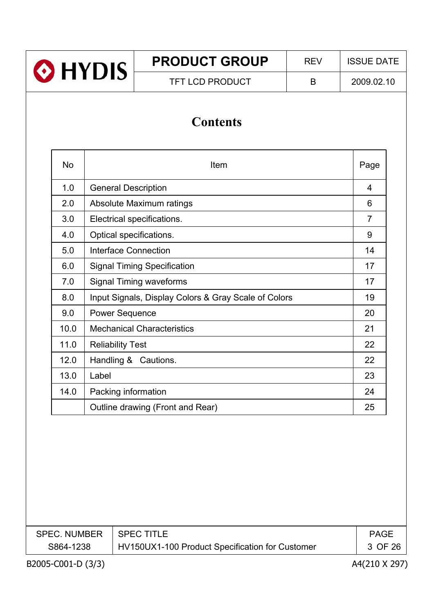| HYDIS <sup>®</sup>                    |  | <b>PRODUCT GROUP</b>   | <b>REV</b> | <b>ISSUE DATE</b> |  |  |  |  |
|---------------------------------------|--|------------------------|------------|-------------------|--|--|--|--|
|                                       |  | <b>TFT LCD PRODUCT</b> | B          | 2009.02.10        |  |  |  |  |
| <b>Contents</b>                       |  |                        |            |                   |  |  |  |  |
| <b>No</b><br>Item                     |  |                        |            | Page              |  |  |  |  |
| 1 <sub>0</sub><br>Conoral Docorintian |  |                        |            |                   |  |  |  |  |

| 1.0  | <b>General Description</b>                           | 4              |
|------|------------------------------------------------------|----------------|
| 2.0  | Absolute Maximum ratings                             | 6              |
| 3.0  | Electrical specifications.                           | $\overline{7}$ |
| 4.0  | Optical specifications.                              | 9              |
| 5.0  | Interface Connection                                 | 14             |
| 6.0  | <b>Signal Timing Specification</b>                   | 17             |
| 7.0  | <b>Signal Timing waveforms</b>                       | 17             |
| 8.0  | Input Signals, Display Colors & Gray Scale of Colors | 19             |
| 9.0  | <b>Power Sequence</b>                                | 20             |
| 10.0 | <b>Mechanical Characteristics</b>                    | 21             |
| 11.0 | <b>Reliability Test</b>                              | 22             |
| 12.0 | Handling & Cautions.                                 | 22             |
| 13.0 | Label                                                | 23             |
| 14.0 | Packing information                                  | 24             |
|      | Outline drawing (Front and Rear)                     | 25             |

| <b>SPEC. NUMBER</b> | l SPEC TITLE                                    | <b>PAGE</b> |
|---------------------|-------------------------------------------------|-------------|
| S864-1238           | HV150UX1-100 Product Specification for Customer | 3 OF 26     |
|                     |                                                 |             |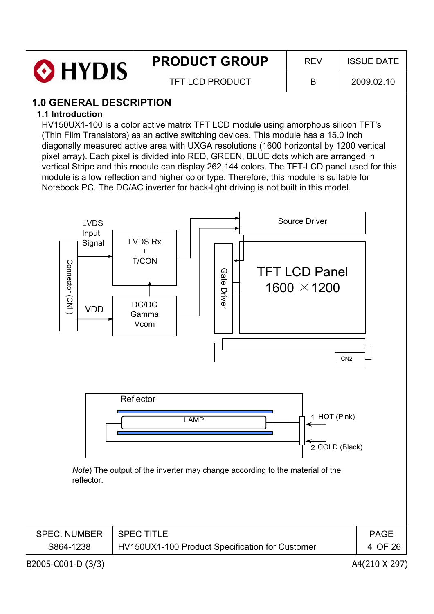| <b>O</b> HYDIS | <b>PRODUCT GROUP</b>   | RFV | <b>ISSUE DATE</b> |
|----------------|------------------------|-----|-------------------|
|                | <b>TFT LCD PRODUCT</b> |     | 2009.02.10        |

# **1.0 GENERAL DESCRIPTION**

#### **1.1 Introduction**

HV150UX1-100 is a color active matrix TFT LCD module using amorphous silicon TFT's (Thin Film Transistors) as an active switching devices. This module has a 15.0 inch diagonally measured active area with UXGA resolutions (1600 horizontal by 1200 vertical pixel array). Each pixel is divided into RED, GREEN, BLUE dots which are arranged in vertical Stripe and this module can display 262,144 colors. The TFT-LCD panel used for this module is a low reflection and higher color type. Therefore, this module is suitable for Notebook PC. The DC/AC inverter for back-light driving is not built in this model.

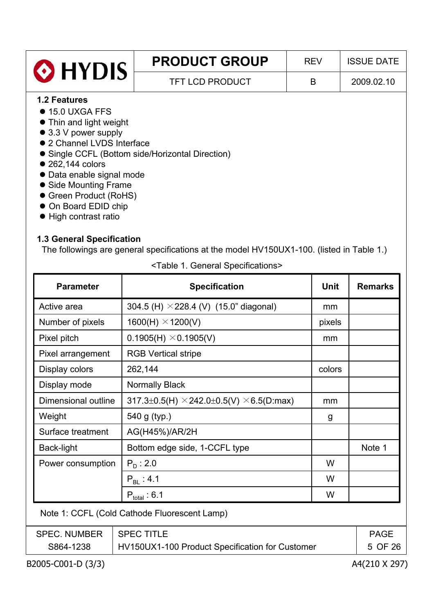| <b>O</b> HYDIS                                                                                                                          | <b>PRODUCT GROUP</b>   | <b>REV</b> | <b>ISSUE DATE</b> |
|-----------------------------------------------------------------------------------------------------------------------------------------|------------------------|------------|-------------------|
|                                                                                                                                         | <b>TFT LCD PRODUCT</b> | B          | 2009.02.10        |
| <b>1.2 Features</b><br>$\bullet$ 15.0 UXGA FFS<br>• Thin and light weight<br>$\bullet$ 3.3 V power supply<br>• 2 Channel LVDS Interface |                        |            |                   |

- Single CCFL (Bottom side/Horizontal Direction)
- $\bullet$  262,144 colors
- Data enable signal mode
- Side Mounting Frame
- Green Product (RoHS)
- On Board EDID chip
- $\bullet$  High contrast ratio

## **1.3 General Specification**

The followings are general specifications at the model HV150UX1-100. (listed in Table 1.)

| <b>Parameter</b>    | <b>Specification</b>                                                | <b>Unit</b> | <b>Remarks</b> |
|---------------------|---------------------------------------------------------------------|-------------|----------------|
| Active area         | 304.5 (H) $\times$ 228.4 (V) (15.0" diagonal)                       | mm          |                |
| Number of pixels    | $1600(H) \times 1200(V)$                                            | pixels      |                |
| Pixel pitch         | $0.1905(H) \times 0.1905(V)$                                        | mm          |                |
| Pixel arrangement   | <b>RGB Vertical stripe</b>                                          |             |                |
| Display colors      | 262,144                                                             | colors      |                |
| Display mode        | <b>Normally Black</b>                                               |             |                |
| Dimensional outline | $317.3 \pm 0.5$ (H) $\times$ 242.0 $\pm$ 0.5(V) $\times$ 6.5(D:max) | mm          |                |
| Weight              | 540 g (typ.)                                                        | g           |                |
| Surface treatment   | AG(H45%)/AR/2H                                                      |             |                |
| Back-light          | Bottom edge side, 1-CCFL type                                       |             | Note 1         |
| Power consumption   | $P_{D}$ : 2.0                                                       | W           |                |
|                     | $P_{BL}$ : 4.1                                                      | W           |                |
|                     | $P_{total}$ : 6.1                                                   | W           |                |
|                     | Note 1: CCFL (Cold Cathode Fluorescent Lamp)                        |             |                |
| <b>SPEC. NUMBER</b> | <b>SPEC TITLE</b>                                                   |             | <b>PAGE</b>    |

S864-1238 | HV150UX1-100 Product Specification for Customer | 5

<Table 1. General Specifications>

B2005-C001-D (3/3) A4(210 X 297)

OF 26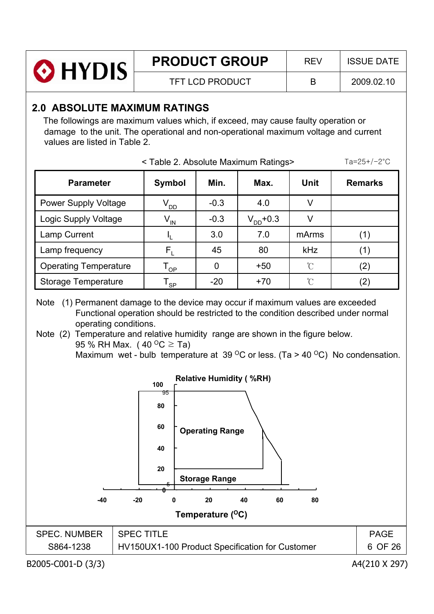| <b>O</b> HYDIS | <b>PRODUCT GROUP</b>   | <b>RFV</b> | <b>ISSUE DATE</b> |
|----------------|------------------------|------------|-------------------|
|                | <b>TFT LCD PRODUCT</b> |            | 2009.02.10        |

# **2.0 ABSOLUTE MAXIMUM RATINGS**

The followings are maximum values which, if exceed, may cause faulty operation or damage to the unit. The operational and non-operational maximum voltage and current values are listed in Table 2.

|                                                                                                                                                                                                                                                                                                                                                                                                                                                                                                                                                                                                                                                              | $Ta = 25 + (-2^{\circ}C)$              |        |               |               |                |  |  |  |
|--------------------------------------------------------------------------------------------------------------------------------------------------------------------------------------------------------------------------------------------------------------------------------------------------------------------------------------------------------------------------------------------------------------------------------------------------------------------------------------------------------------------------------------------------------------------------------------------------------------------------------------------------------------|----------------------------------------|--------|---------------|---------------|----------------|--|--|--|
| <b>Parameter</b>                                                                                                                                                                                                                                                                                                                                                                                                                                                                                                                                                                                                                                             | <b>Symbol</b>                          | Min.   | Max.          | Unit          | <b>Remarks</b> |  |  |  |
| <b>Power Supply Voltage</b>                                                                                                                                                                                                                                                                                                                                                                                                                                                                                                                                                                                                                                  | $\rm V_{DD}$                           | $-0.3$ | 4.0           | V             |                |  |  |  |
| Logic Supply Voltage                                                                                                                                                                                                                                                                                                                                                                                                                                                                                                                                                                                                                                         | $V_{\underline{\text{IN}}}$            | $-0.3$ | $V_{DD}$ +0.3 | $\vee$        |                |  |  |  |
| Lamp Current                                                                                                                                                                                                                                                                                                                                                                                                                                                                                                                                                                                                                                                 | I <sup>r</sup>                         | 3.0    | 7.0           | mArms         | (1)            |  |  |  |
| Lamp frequency                                                                                                                                                                                                                                                                                                                                                                                                                                                                                                                                                                                                                                               | $F_L$                                  | 45     | 80            | kHz           | (1)            |  |  |  |
| <b>Operating Temperature</b>                                                                                                                                                                                                                                                                                                                                                                                                                                                                                                                                                                                                                                 | $\mathsf{T}_{\mathsf{OP}}$             | 0      | $+50$         | $\mathcal{C}$ | (2)            |  |  |  |
| <b>Storage Temperature</b>                                                                                                                                                                                                                                                                                                                                                                                                                                                                                                                                                                                                                                   | $\mathsf{T}_{\underline{\mathsf{SP}}}$ | $-20$  | $+70$         | $\mathcal{C}$ | (2)            |  |  |  |
| (1) Permanent damage to the device may occur if maximum values are exceeded<br>Note<br>Functional operation should be restricted to the condition described under normal<br>operating conditions.<br>Note (2) Temperature and relative humidity range are shown in the figure below.<br>95 % RH Max. (40 $^{\circ}$ C $\geq$ Ta)<br>Maximum wet - bulb temperature at 39 $\mathrm{^{\circ}C}$ or less. (Ta > 40 $\mathrm{^{\circ}C}$ ) No condensation.<br><b>Relative Humidity (%RH)</b><br>100<br>95<br>80<br>60<br><b>Operating Range</b><br>40<br>20<br><b>Storage Range</b><br>20<br>40<br>60<br>-40<br>-20<br>80<br>0<br>Temperature ( <sup>O</sup> C) |                                        |        |               |               |                |  |  |  |
| <b>SPEC. NUMBER</b>                                                                                                                                                                                                                                                                                                                                                                                                                                                                                                                                                                                                                                          | <b>SPEC TITLE</b>                      |        |               |               | <b>PAGE</b>    |  |  |  |
| S864-1238<br>HV150UX1-100 Product Specification for Customer<br>6 OF 26                                                                                                                                                                                                                                                                                                                                                                                                                                                                                                                                                                                      |                                        |        |               |               |                |  |  |  |

B2005-C001-D (3/3) A4(210 X 297)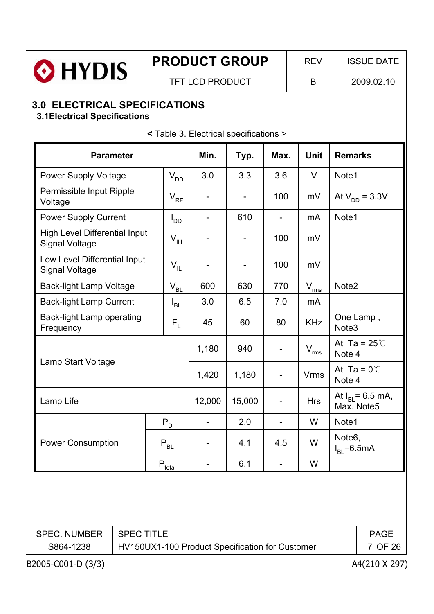| <b>PRODUCT GROUP</b><br>O HYDIS<br><b>TFT LCD PRODUCT</b>                                                              |                                                                                                                                    |  |                              |        |        |      | <b>REV</b>     |                                         | <b>ISSUE DATE</b>                          |  |
|------------------------------------------------------------------------------------------------------------------------|------------------------------------------------------------------------------------------------------------------------------------|--|------------------------------|--------|--------|------|----------------|-----------------------------------------|--------------------------------------------|--|
|                                                                                                                        |                                                                                                                                    |  |                              |        |        |      | B              |                                         | 2009.02.10                                 |  |
| <b>3.0 ELECTRICAL SPECIFICATIONS</b><br><b>3.1 Electrical Specifications</b><br>< Table 3. Electrical specifications > |                                                                                                                                    |  |                              |        |        |      |                |                                         |                                            |  |
|                                                                                                                        | <b>Parameter</b>                                                                                                                   |  |                              | Min.   | Typ.   | Max. | <b>Unit</b>    | <b>Remarks</b>                          |                                            |  |
|                                                                                                                        | <b>Power Supply Voltage</b>                                                                                                        |  | $\rm V_{\rm \underline{OD}}$ | 3.0    | 3.3    | 3.6  | V              | Note1                                   |                                            |  |
|                                                                                                                        | Permissible Input Ripple<br>Voltage                                                                                                |  | $\mathsf{V}_{\mathsf{RF}}$   |        |        | 100  | mV             |                                         | At $V_{DD} = 3.3V$                         |  |
|                                                                                                                        | <b>Power Supply Current</b>                                                                                                        |  | l <sub>DD</sub>              |        | 610    | Ξ.   | m <sub>A</sub> | Note1                                   |                                            |  |
|                                                                                                                        | <b>High Level Differential Input</b><br><b>Signal Voltage</b>                                                                      |  | $\mathsf{V}_{\mathsf{H}}$    |        |        | 100  | mV             |                                         |                                            |  |
|                                                                                                                        | Low Level Differential Input<br>$V_{IL}$<br><b>Signal Voltage</b>                                                                  |  |                              |        |        | 100  | mV             |                                         |                                            |  |
|                                                                                                                        | <b>Back-light Lamp Voltage</b><br>$V_{BL}$                                                                                         |  |                              | 600    | 630    | 770  | $V_{\rm rms}$  | Note <sub>2</sub>                       |                                            |  |
|                                                                                                                        | <b>Back-light Lamp Current</b>                                                                                                     |  | l <sub>bl.</sub>             | 3.0    | 6.5    | 7.0  | mA             |                                         |                                            |  |
|                                                                                                                        | <b>Back-light Lamp operating</b><br>$\mathsf{F}_{\mathsf{L}}$<br>Frequency                                                         |  |                              | 45     | 60     | 80   | <b>KHz</b>     | One Lamp,<br>Note <sub>3</sub>          |                                            |  |
|                                                                                                                        |                                                                                                                                    |  |                              | 1,180  | 940    |      | $V_{rms}$      | Note 4                                  | At Ta = $25^{\circ}$ C                     |  |
|                                                                                                                        | Lamp Start Voltage                                                                                                                 |  |                              | 1,420  | 1,180  |      | <b>Vrms</b>    | Note 4                                  | At Ta = $0^{\circ}$ C                      |  |
|                                                                                                                        | Lamp Life                                                                                                                          |  |                              | 12,000 | 15,000 |      | <b>Hrs</b>     |                                         | At $I_{\text{BI}}$ = 6.5 mA,<br>Max. Note5 |  |
|                                                                                                                        |                                                                                                                                    |  | $P_D$                        |        | 2.0    |      | W              | Note1                                   |                                            |  |
|                                                                                                                        | <b>Power Consumption</b>                                                                                                           |  | $P_{BL}$                     |        | 4.1    | 4.5  | W              | Note <sub>6</sub> ,<br>$I_{BL} = 6.5mA$ |                                            |  |
| $P_{\underline{\text{total}}}$                                                                                         |                                                                                                                                    |  |                              |        | 6.1    |      | W              |                                         |                                            |  |
|                                                                                                                        |                                                                                                                                    |  |                              |        |        |      |                |                                         |                                            |  |
|                                                                                                                        | <b>SPEC TITLE</b><br><b>SPEC. NUMBER</b><br><b>PAGE</b><br>HV150UX1-100 Product Specification for Customer<br>7 OF 26<br>S864-1238 |  |                              |        |        |      |                |                                         |                                            |  |
|                                                                                                                        | B2005-C001-D (3/3)                                                                                                                 |  |                              |        |        |      |                |                                         | A4(210 X 297)                              |  |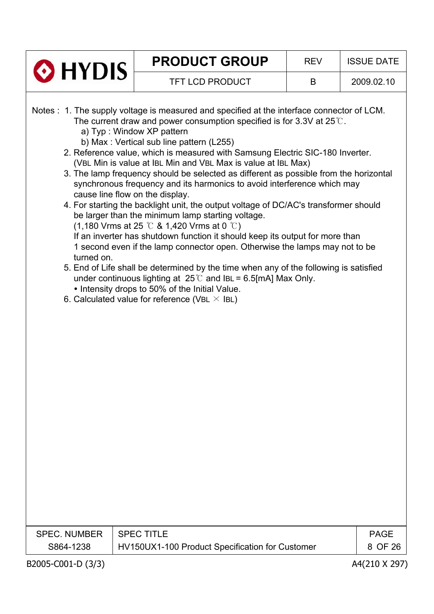|                                                                                                                                                                                                                                                                                                                                                                                                                                                                                                                                                                                                                                                                                                                                                                                                                                                                                                                                                                                                                                                                                                                                                                                                                                                                                                                                                                                               |               | <b>PRODUCT GROUP</b>   | <b>REV</b> | <b>ISSUE DATE</b> |  |  |  |
|-----------------------------------------------------------------------------------------------------------------------------------------------------------------------------------------------------------------------------------------------------------------------------------------------------------------------------------------------------------------------------------------------------------------------------------------------------------------------------------------------------------------------------------------------------------------------------------------------------------------------------------------------------------------------------------------------------------------------------------------------------------------------------------------------------------------------------------------------------------------------------------------------------------------------------------------------------------------------------------------------------------------------------------------------------------------------------------------------------------------------------------------------------------------------------------------------------------------------------------------------------------------------------------------------------------------------------------------------------------------------------------------------|---------------|------------------------|------------|-------------------|--|--|--|
|                                                                                                                                                                                                                                                                                                                                                                                                                                                                                                                                                                                                                                                                                                                                                                                                                                                                                                                                                                                                                                                                                                                                                                                                                                                                                                                                                                                               |               | <b>TFT LCD PRODUCT</b> | B          | 2009.02.10        |  |  |  |
| O HYDIS<br>Notes : 1. The supply voltage is measured and specified at the interface connector of LCM.<br>The current draw and power consumption specified is for 3.3V at $25^{\circ}$ .<br>a) Typ: Window XP pattern<br>b) Max: Vertical sub line pattern (L255)<br>2. Reference value, which is measured with Samsung Electric SIC-180 Inverter.<br>(VBL Min is value at IBL Min and VBL Max is value at IBL Max)<br>3. The lamp frequency should be selected as different as possible from the horizontal<br>synchronous frequency and its harmonics to avoid interference which may<br>cause line flow on the display.<br>4. For starting the backlight unit, the output voltage of DC/AC's transformer should<br>be larger than the minimum lamp starting voltage.<br>$(1,180$ Vrms at 25 °C & 1,420 Vrms at 0 °C)<br>If an inverter has shutdown function it should keep its output for more than<br>1 second even if the lamp connector open. Otherwise the lamps may not to be<br>turned on.<br>5. End of Life shall be determined by the time when any of the following is satisfied<br>under continuous lighting at $25^{\circ}$ and IBL = 6.5[mA] Max Only.<br>• Intensity drops to 50% of the Initial Value.<br>6. Calculated value for reference (VBL $\times$ IBL)<br><b>SPEC TITLE</b><br><b>SPEC. NUMBER</b><br><b>PAGE</b><br>HV150UX1-100 Product Specification for Customer |               |                        |            |                   |  |  |  |
| S864-1238                                                                                                                                                                                                                                                                                                                                                                                                                                                                                                                                                                                                                                                                                                                                                                                                                                                                                                                                                                                                                                                                                                                                                                                                                                                                                                                                                                                     |               |                        |            | 8 OF 26           |  |  |  |
| B2005-C001-D (3/3)                                                                                                                                                                                                                                                                                                                                                                                                                                                                                                                                                                                                                                                                                                                                                                                                                                                                                                                                                                                                                                                                                                                                                                                                                                                                                                                                                                            | A4(210 X 297) |                        |            |                   |  |  |  |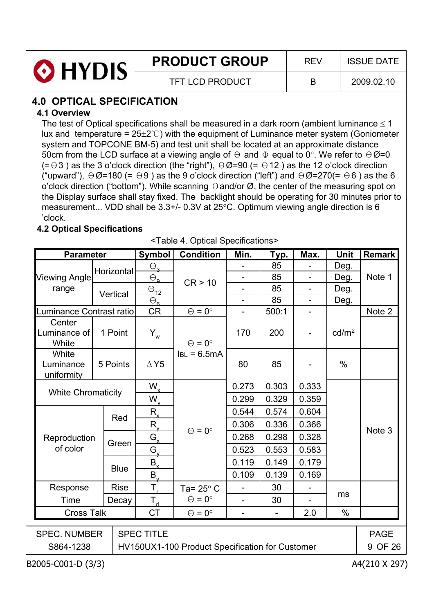

# **PRODUCT GROUP** REV ISSUE DATE

TFT LCD PRODUCT B 2009.02.10

# **4.0 OPTICAL SPECIFICATION**

## **4.1 Overview**

The test of Optical specifications shall be measured in a dark room (ambient luminance  $\leq 1$ lux and temperature =  $25\pm2$ °C) with the equipment of Luminance meter system (Goniometer system and TOPCONE BM-5) and test unit shall be located at an approximate distance 50cm from the LCD surface at a viewing angle of  $\Theta$  and  $\Phi$  equal to 0°. We refer to  $\Theta \varnothing$ =0  $(= \theta 3)$  as the 3 o'clock direction (the "right"),  $\theta \emptyset = 90$  (=  $\theta$ 12) as the 12 o'clock direction ("upward"),  $\Theta \emptyset$ =180 (=  $\Theta$ 9) as the 9 o'clock direction ("left") and  $\Theta \emptyset$ =270(=  $\Theta$ 6) as the 6 o'clock direction ("bottom"). While scanning  $\Theta$  and/or  $\varnothing$ , the center of the measuring spot on the Display surface shall stay fixed. The backlight should be operating for 30 minutes prior to measurement... VDD shall be  $3.3+/$ - 0.3V at  $25°C$ . Optimum viewing angle direction is 6 'clock.

# **4.2 Optical Specifications**

<Table 4. Optical Specifications>

| <b>Parameter</b>                 |                           | Symbol                 | <b>Condition</b>                                | Min.                     | <b>Тур.</b> | Max.                     | Unit              | Remark      |
|----------------------------------|---------------------------|------------------------|-------------------------------------------------|--------------------------|-------------|--------------------------|-------------------|-------------|
|                                  | Horizontal                | $\Theta_{\mathbf{a}}$  |                                                 |                          | 85          |                          | Deg.              |             |
| <b>Viewing Angle</b>             |                           | $\Theta_{\mathbf{q}}$  | CR > 10                                         | $\overline{\phantom{0}}$ | 85          | $\overline{\phantom{a}}$ | Deg.              | Note 1      |
| range                            | Vertical                  | $\ominus_{12}$         |                                                 | $\overline{\phantom{0}}$ | 85          | $\overline{\phantom{a}}$ | Deg.              |             |
|                                  |                           | $\Theta_{\mathbf{a}}$  |                                                 | $\overline{\phantom{0}}$ | 85          | $\overline{\phantom{a}}$ | Deg.              |             |
| Luminance Contrast ratio         |                           | <b>CR</b>              | $\Theta = 0^{\circ}$                            |                          | 500:1       |                          |                   | Note 2      |
| Center<br>Luminance of<br>White  | 1 Point                   | $Y_w$                  | $\Theta = 0^{\circ}$                            | 170                      | 200         |                          | cd/m <sup>2</sup> |             |
| White<br>Luminance<br>uniformity | 5 Points                  | $\Delta$ Y5            | $IBL = 6.5mA$                                   | 80                       | 85          |                          | $\%$              |             |
|                                  | <b>White Chromaticity</b> |                        |                                                 | 0.273                    | 0.303       | 0.333                    |                   |             |
|                                  |                           | $W_{x}$<br>$W_{\rm v}$ |                                                 | 0.299                    | 0.329       | 0.359                    |                   |             |
|                                  |                           | $R_{x}$                |                                                 | 0.544                    | 0.574       | 0.604                    |                   |             |
|                                  | Red                       | $R_{v}$                |                                                 | 0.306                    | 0.336       | 0.366                    |                   |             |
| Reproduction                     |                           | $G_{x}$                | $\Theta = 0^{\circ}$                            | 0.268                    | 0.298       | 0.328                    |                   | Note 3      |
| of color                         | Green                     | $G_{\rm v}$            |                                                 | 0.523                    | 0.553       | 0.583                    |                   |             |
|                                  |                           | $B_{x}$                |                                                 | 0.119                    | 0.149       | 0.179                    |                   |             |
|                                  | <b>Blue</b>               | $B_{\rm v}$            |                                                 | 0.109                    | 0.139       | 0.169                    |                   |             |
| Response                         | <b>Rise</b>               | $T_r$                  | Ta= $25^\circ$ C                                |                          | 30          |                          |                   |             |
| Time                             | Decay                     | $T_{d}$                | $\Theta = 0^{\circ}$                            | $\blacksquare$           | 30          |                          | ms                |             |
| <b>Cross Talk</b>                |                           | <b>CT</b>              | $\Theta = 0^{\circ}$                            |                          |             | 2.0                      | $\%$              |             |
|                                  |                           |                        |                                                 |                          |             |                          |                   |             |
| <b>SPEC. NUMBER</b>              |                           | <b>SPEC TITLE</b>      |                                                 |                          |             |                          |                   | <b>PAGE</b> |
| S864-1238                        |                           |                        | HV150UX1-100 Product Specification for Customer |                          |             |                          |                   | 9 OF 26     |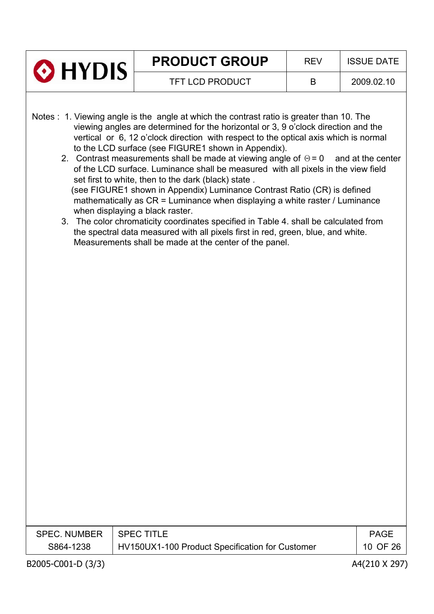|                                  | <b>PRODUCT GROUP</b>                                                                                                                                                                                                                                                                                                                                                                                                                                                                                                                                                                                                                                                                                                                                                                                                                                                                                                                                                                                        | <b>REV</b> | <b>ISSUE DATE</b>       |
|----------------------------------|-------------------------------------------------------------------------------------------------------------------------------------------------------------------------------------------------------------------------------------------------------------------------------------------------------------------------------------------------------------------------------------------------------------------------------------------------------------------------------------------------------------------------------------------------------------------------------------------------------------------------------------------------------------------------------------------------------------------------------------------------------------------------------------------------------------------------------------------------------------------------------------------------------------------------------------------------------------------------------------------------------------|------------|-------------------------|
| $\odot$ HYDIS                    | <b>TFT LCD PRODUCT</b>                                                                                                                                                                                                                                                                                                                                                                                                                                                                                                                                                                                                                                                                                                                                                                                                                                                                                                                                                                                      | B          | 2009.02.10              |
|                                  | Notes : 1. Viewing angle is the angle at which the contrast ratio is greater than 10. The<br>viewing angles are determined for the horizontal or 3, 9 o'clock direction and the<br>vertical or 6, 12 o'clock direction with respect to the optical axis which is normal<br>to the LCD surface (see FIGURE1 shown in Appendix).<br>2. Contrast measurements shall be made at viewing angle of $\Theta = 0$ and at the center<br>of the LCD surface. Luminance shall be measured with all pixels in the view field<br>set first to white, then to the dark (black) state.<br>(see FIGURE1 shown in Appendix) Luminance Contrast Ratio (CR) is defined<br>mathematically as CR = Luminance when displaying a white raster / Luminance<br>when displaying a black raster.<br>3. The color chromaticity coordinates specified in Table 4. shall be calculated from<br>the spectral data measured with all pixels first in red, green, blue, and white.<br>Measurements shall be made at the center of the panel. |            |                         |
| <b>SPEC. NUMBER</b><br>S864-1238 | <b>SPEC TITLE</b><br>HV150UX1-100 Product Specification for Customer                                                                                                                                                                                                                                                                                                                                                                                                                                                                                                                                                                                                                                                                                                                                                                                                                                                                                                                                        |            | <b>PAGE</b><br>10 OF 26 |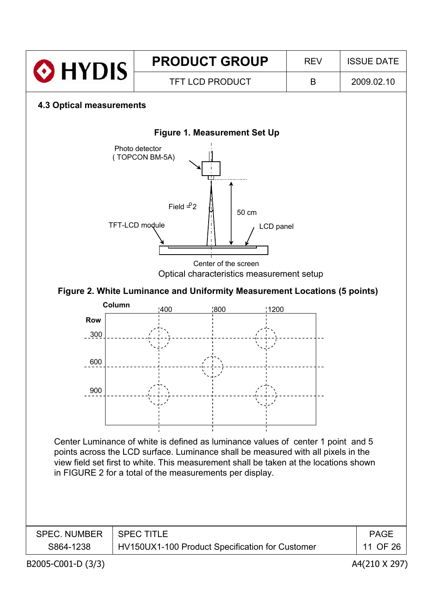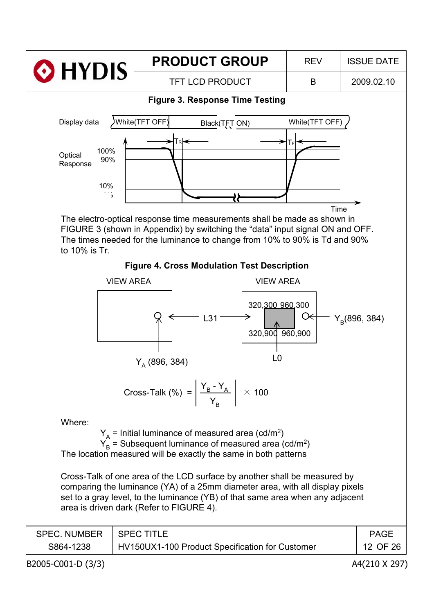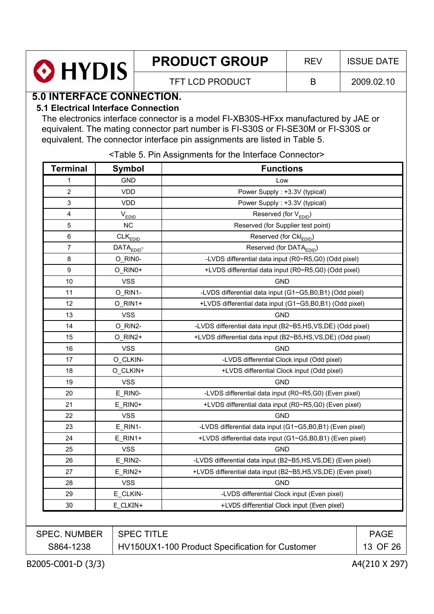|         | <b>PRODUCT GROUP</b> | RFV | <b>ISSUE DATE</b> |
|---------|----------------------|-----|-------------------|
| O HYDIS | TFT LCD PRODUCT      |     | 2009.02.10        |

# **5.0 INTERFACE CONNECTION.**

#### **5.1 Electrical Interface Connection**

The electronics interface connector is a model FI-XB30S-HFxx manufactured by JAE or equivalent. The mating connector part number is FI-S30S or FI-SE30M or FI-S30S or equivalent. The connector interface pin assignments are listed in Table 5.

<Table 5. Pin Assignments for the Interface Connector>

| <b>Terminal</b>     | <b>Symbol</b>          | <b>Functions</b>                                            |             |
|---------------------|------------------------|-------------------------------------------------------------|-------------|
| 1                   | <b>GND</b>             | Low                                                         |             |
| 2                   | <b>VDD</b>             | Power Supply: +3.3V (typical)                               |             |
| 3                   | <b>VDD</b>             | Power Supply : +3.3V (typical)                              |             |
| 4                   | $V_{EDID}$             | Reserved (for V <sub>EDID</sub> )                           |             |
| 5                   | NC                     | Reserved (for Supplier test point)                          |             |
| $\,6\,$             | $CLK$ <sub>EDID</sub>  | Reserved (for Ckl <sub>EDID</sub> )                         |             |
| $\overline{7}$      | DATA <sub>EDID</sub> - | Reserved (for DATA <sub>EDID</sub> )                        |             |
| 8                   | O_RIN0-                | -LVDS differential data input (R0~R5,G0) (Odd pixel)        |             |
| 9                   | O_RIN0+                | +LVDS differential data input (R0~R5,G0) (Odd pixel)        |             |
| 10                  | <b>VSS</b>             | <b>GND</b>                                                  |             |
| 11                  | O_RIN1-                | -LVDS differential data input (G1~G5,B0,B1) (Odd pixel)     |             |
| 12                  | O_RIN1+                | +LVDS differential data input (G1~G5,B0,B1) (Odd pixel)     |             |
| 13                  | <b>VSS</b>             | <b>GND</b>                                                  |             |
| 14                  | O_RIN2-                | -LVDS differential data input (B2~B5,HS,VS,DE) (Odd pixel)  |             |
| 15                  | O_RIN2+                | +LVDS differential data input (B2~B5,HS,VS,DE) (Odd pixel)  |             |
| 16                  | <b>VSS</b>             | <b>GND</b>                                                  |             |
| 17                  | O_CLKIN-               | -LVDS differential Clock input (Odd pixel)                  |             |
| 18                  | O CLKIN+               | +LVDS differential Clock input (Odd pixel)                  |             |
| 19                  | <b>VSS</b>             | <b>GND</b>                                                  |             |
| 20                  | E RINO-                | -LVDS differential data input (R0~R5,G0) (Even pixel)       |             |
| 21                  | $E_R$ INO+             | +LVDS differential data input (R0~R5,G0) (Even pixel)       |             |
| 22                  | <b>VSS</b>             | <b>GND</b>                                                  |             |
| 23                  | E_RIN1-                | -LVDS differential data input (G1~G5,B0,B1) (Even pixel)    |             |
| 24                  | $E$ RIN1+              | +LVDS differential data input (G1~G5,B0,B1) (Even pixel)    |             |
| 25                  | <b>VSS</b>             | <b>GND</b>                                                  |             |
| 26                  | E RIN2-                | -LVDS differential data input (B2~B5,HS,VS,DE) (Even pixel) |             |
| 27                  | E_RIN2+                | +LVDS differential data input (B2~B5,HS,VS,DE) (Even pixel) |             |
| 28                  | <b>VSS</b>             | <b>GND</b>                                                  |             |
| 29                  | E_CLKIN-               | -LVDS differential Clock input (Even pixel)                 |             |
| 30                  | E_CLKIN+               | +LVDS differential Clock input (Even pixel)                 |             |
|                     |                        |                                                             |             |
| <b>SPEC. NUMBER</b> | <b>SPEC TITLE</b>      |                                                             | <b>PAGE</b> |
| S864-1238           |                        | HV150UX1-100 Product Specification for Customer             | 13 OF 26    |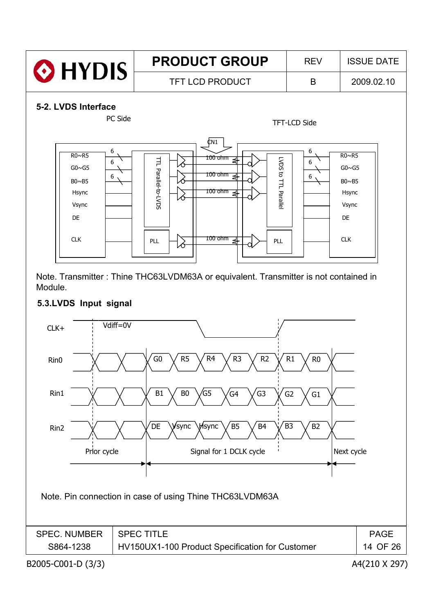

Note. Transmitter : Thine THC63LVDM63A or equivalent. Transmitter is not contained in Module.

# **5.3.LVDS Input signal**

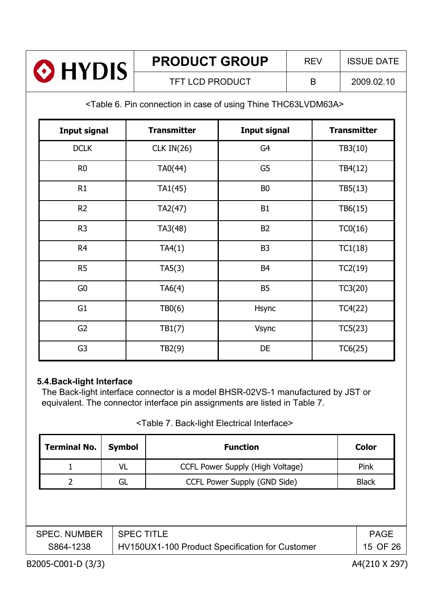| <b>O</b> HYDIS | <b>PRODUCT GROUP</b> | <b>RFV</b> | <b>ISSUE DATE</b> |  |  |
|----------------|----------------------|------------|-------------------|--|--|
|                | TFT LCD PRODUCT      |            | 2009.02.10        |  |  |

<Table 6. Pin connection in case of using Thine THC63LVDM63A>

| <b>Input signal</b> | <b>Transmitter</b> | <b>Input signal</b> | <b>Transmitter</b> |
|---------------------|--------------------|---------------------|--------------------|
| <b>DCLK</b>         | CLK IN(26)         | G4                  | TB3(10)            |
| R <sub>0</sub>      | TA0(44)            | G5                  | TB4(12)            |
| R1                  | TA1(45)            | B <sub>0</sub>      | TB5(13)            |
| R <sub>2</sub>      | TA2(47)            | <b>B1</b>           | TB6(15)            |
| R <sub>3</sub>      | TA3(48)            | <b>B2</b>           | TC0(16)            |
| R <sub>4</sub>      | TA4(1)             | B <sub>3</sub>      | TC1(18)            |
| R <sub>5</sub>      | TA5(3)             | B <sub>4</sub>      | TC2(19)            |
| G <sub>0</sub>      | TA6(4)             | <b>B5</b>           | TC3(20)            |
| G <sub>1</sub>      | TBO(6)             | Hsync               | TC4(22)            |
| G <sub>2</sub>      | TB1(7)             | Vsync               | TC5(23)            |
| G <sub>3</sub>      | TB2(9)             | DE                  | TC6(25)            |

#### **5.4.Back-light Interface**

The Back-light interface connector is a model BHSR-02VS-1 manufactured by JST or equivalent. The connector interface pin assignments are listed in Table 7.

#### <Table 7. Back-light Electrical Interface>

| <b>Terminal No.</b> | <b>Symbol</b>     | <b>Function</b>                                 | <b>Color</b> |
|---------------------|-------------------|-------------------------------------------------|--------------|
|                     | VL                | CCFL Power Supply (High Voltage)                | Pink         |
|                     | GL                | CCFL Power Supply (GND Side)                    | <b>Black</b> |
|                     |                   |                                                 |              |
|                     |                   |                                                 |              |
|                     |                   |                                                 |              |
| <b>SPEC. NUMBER</b> | <b>SPEC TITLE</b> |                                                 | <b>PAGE</b>  |
| S864-1238           |                   | HV150UX1-100 Product Specification for Customer | 15 OF 26     |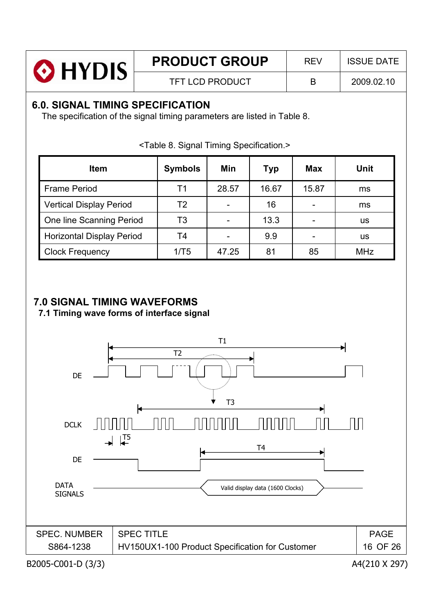| <b>O</b> HYDIS | <b>PRODUCT GROUP</b>   | <b>REV</b> | <b>ISSUE DATE</b> |
|----------------|------------------------|------------|-------------------|
|                | <b>TFT LCD PRODUCT</b> | В          | 2009.02.10        |
|                |                        |            |                   |

# **6.0. SIGNAL TIMING SPECIFICATION**

The specification of the signal timing parameters are listed in Table 8.

| <b>Item</b>                      | <b>Symbols</b> | Min   | <b>Typ</b> | <b>Max</b> | <b>Unit</b> |
|----------------------------------|----------------|-------|------------|------------|-------------|
| <b>Frame Period</b>              | Τ1             | 28.57 | 16.67      | 15.87      | ms          |
| <b>Vertical Display Period</b>   | T2             |       | 16         |            | ms          |
| One line Scanning Period         | T3             |       | 13.3       |            | us          |
| <b>Horizontal Display Period</b> | T4             |       | 9.9        |            | us          |
| <b>Clock Frequency</b>           | 1/T5           | 47.25 | 81         | 85         | <b>MHz</b>  |

<Table 8. Signal Timing Specification.>

# **7.0 SIGNAL TIMING WAVEFORMS**

**7.1 Timing wave forms of interface signal**

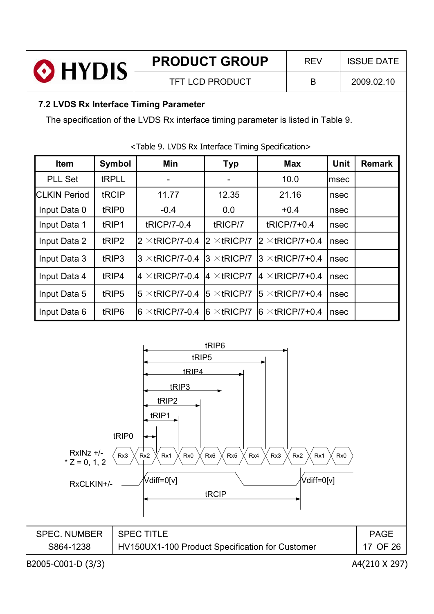|                | <b>PRODUCT GROUP</b>   | <b>RFV</b> | <b>ISSUE DATE</b> |
|----------------|------------------------|------------|-------------------|
| <b>O</b> HYDIS | <b>TFT LCD PRODUCT</b> | B          | 2009.02.10        |

# **7.2 LVDS Rx Interface Timing Parameter**

The specification of the LVDS Rx interface timing parameter is listed in Table 9.

| <b>Item</b>         | Symbol            | Min                    | <b>Typ</b>           | <b>Max</b>              | <b>Unit</b> | <b>Remark</b> |
|---------------------|-------------------|------------------------|----------------------|-------------------------|-------------|---------------|
| <b>PLL Set</b>      | tRPLL             |                        |                      | 10.0                    | Imsec       |               |
| <b>CLKIN Period</b> | tRCIP             | 11.77                  | 12.35                | 21.16                   | nsec        |               |
| Input Data 0        | tRIP <sub>0</sub> | $-0.4$                 | 0.0                  | $+0.4$                  | nsec        |               |
| Input Data 1        | tRIP1             | tRICP/7-0.4            | tRICP/7              | tRICP/7+0.4             | nsec        |               |
| Input Data 2        | tRIP <sub>2</sub> | $2 \times$ tRICP/7-0.4 | $2 \times$ tRICP/7   | $2 \times$ tRICP/7+0.4  | nsec        |               |
| Input Data 3        | tRIP3             | $3 \times$ tRICP/7-0.4 | $3 \times$ tricp/7   | $3 \times$ tRICP/7+0.4  | nsec        |               |
| Input Data 4        | tRIP4             | $4 \times$ tRICP/7-0.4 | $4 \times$ tRICP/7   | $ 4 \times$ tRICP/7+0.4 | nsec        |               |
| Input Data 5        | tRIP5             | $5 \times$ tRICP/7-0.4 | $5 \times$ tRICP/7   | $15 \times$ tRICP/7+0.4 | nsec        |               |
| Input Data 6        | tRIP <sub>6</sub> | $6 \times$ tRICP/7-0.4 | $ 6 \times tRICP/7 $ | $6 \times$ tRICP/7+0.4  | nsec        |               |

<Table 9. LVDS Rx Interface Timing Specification>

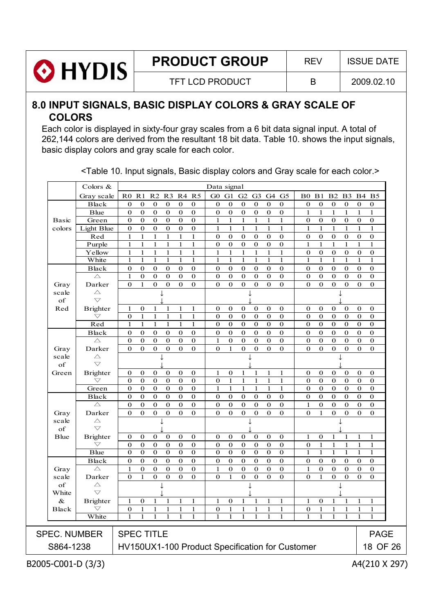

**PRODUCT GROUP** REV | ISSUE DATE

TFT LCD PRODUCT  $\vert$  B  $\vert$  2009.02.10

# **8.0 INPUT SIGNALS, BASIC DISPLAY COLORS & GRAY SCALE OF COLORS**

Each color is displayed in sixty-four gray scales from a 6 bit data signal input. A total of 262,144 colors are derived from the resultant 18 bit data. Table 10. shows the input signals, basic display colors and gray scale for each color.

|                                                                          | Colors &                         |                   |                      |                             |                          |                             |                         | Data signal              |                         |                         |                              |                          |                               |                      |                      |                         |                      |                                 |                                 |
|--------------------------------------------------------------------------|----------------------------------|-------------------|----------------------|-----------------------------|--------------------------|-----------------------------|-------------------------|--------------------------|-------------------------|-------------------------|------------------------------|--------------------------|-------------------------------|----------------------|----------------------|-------------------------|----------------------|---------------------------------|---------------------------------|
|                                                                          | Gray scale                       |                   |                      | R0 R1 R2 R3 R4 R5           |                          |                             |                         | G0                       | G1                      | G2 G3                   |                              | G4                       | G <sub>5</sub>                | B <sub>0</sub>       |                      | B1 B2 B3                |                      | <b>B4 B5</b>                    |                                 |
|                                                                          | <b>Black</b>                     | $\mathbf{0}$      | $\bf{0}$             | $\bf{0}$                    | $\bf{0}$                 | $\bf{0}$                    | $\bf{0}$                | $\bf{0}$                 | $\boldsymbol{0}$        | $\bf{0}$                | $\bf{0}$                     | $\bf{0}$                 | $\bf{0}$                      | $\boldsymbol{0}$     | $\bf{0}$             | $\boldsymbol{0}$        | $\boldsymbol{0}$     | $\boldsymbol{0}$                | $\bf{0}$                        |
|                                                                          | Blue                             | $\bf{0}$          | $\bf{0}$             | $\mathbf 0$                 | $\bf{0}$                 | $\mathbf 0$                 | $\boldsymbol{0}$        | $\bf{0}$                 | $\mathbf 0$             | $\boldsymbol{0}$        | $\boldsymbol{0}$             | $\mathbf 0$              | $\boldsymbol{0}$              | $\mathbf{1}$         | $\mathbf{1}$         | $\mathbf{1}$            | $\mathbf{1}$         | $\mathbf{1}$                    | $\mathbf{1}$                    |
| <b>Basic</b>                                                             | Green                            | $\mathbf{0}$      | $\mathbf{0}$         | $\mathbf{0}$                | $\bf{0}$                 | $\mathbf{0}$                | $\mathbf{0}$            | $\mathbf{1}$             | $\mathbf{1}$            | $\mathbf{1}$            | $\mathbf{1}$                 | $\mathbf{1}$             | $\mathbf{1}$                  | $\mathbf 0$          | $\mathbf 0$          | $\mathbf 0$             | $\mathbf{0}$         | $\boldsymbol{0}$                | $\mathbf 0$                     |
| colors                                                                   | Light Blue                       | $\bf{0}$          | $\bf{0}$             | $\mathbf 0$                 | $\mathbf 0$              | $\mathbf 0$                 | $\mathbf 0$             | $\mathbf{1}$             | $\mathbf{1}$            | $\mathbf{1}$            | $\mathbf{1}$                 | $\mathbf{1}$             | $\mathbf{1}$                  | $\mathbf{1}$         | $\mathbf{1}$         | $\mathbf{1}$            | $\mathbf{1}$         | $\mathbf{1}$                    | $\mathbf{1}$                    |
|                                                                          | Red                              | $\mathbf{1}$      | $\mathbf{1}$         | $\mathbf{1}$                | $\mathbf{1}$             | $\mathbf{1}$                | $\mathbf{1}$            | $\mathbf 0$              | $\mathbf{0}$            | $\boldsymbol{0}$        | $\boldsymbol{0}$             | $\boldsymbol{0}$         | $\boldsymbol{0}$              | $\mathbf{0}$         | $\boldsymbol{0}$     | $\mathbf{0}$            | $\boldsymbol{0}$     | $\boldsymbol{0}$                | $\boldsymbol{0}$                |
|                                                                          | Purple                           | $\mathbf 1$       | $\mathbf{1}$         | $\mathbf 1$                 | $\mathbf{1}$             | $\mathbf{1}$                | $\mathbf{1}$            | $\mathbf 0$              | $\boldsymbol{0}$        | $\mathbf 0$             | $\boldsymbol{0}$             | $\boldsymbol{0}$         | $\boldsymbol{0}$              | $\mathbf{1}$         | $\mathbf 1$          | $\mathbf{1}$            | $\mathbf{1}$         | $\mathbf{1}$                    | $\mathbf{1}$                    |
|                                                                          | Yellow                           | $\mathbf{1}$      | 1                    | $\mathbf{1}$                | $\mathbf{1}$             | $\mathbf{1}$                | 1                       | 1                        | $\mathbf{1}$            | $\mathbf{1}$            | $\mathbf{1}$                 | $\mathbf{1}$             | $\mathbf{1}$                  | $\bf{0}$             | $\bf{0}$             | $\bf{0}$                | $\bf{0}$             | $\boldsymbol{0}$                | $\bf{0}$                        |
|                                                                          | White                            | 1                 | 1                    | 1                           | 1                        | 1                           | $\mathbf{1}$            | 1                        | 1                       | 1                       | 1                            | 1                        | 1                             | 1                    | $\mathbf 1$          | 1                       | $\mathbf{1}$         | $\mathbf{1}$                    | $\mathbf{1}$                    |
|                                                                          | <b>Black</b><br>$\triangle$      | $\bf{0}$<br>1     | $\bf{0}$<br>$\bf{0}$ | $\mathbf{0}$<br>$\mathbf 0$ | $\mathbf{0}$<br>$\bf{0}$ | $\mathbf{0}$<br>$\mathbf 0$ | $\mathbf 0$<br>$\bf{0}$ | $\mathbf{0}$<br>$\bf{0}$ | $\bf{0}$<br>$\mathbf 0$ | $\bf{0}$<br>$\mathbf 0$ | $\bf{0}$<br>$\boldsymbol{0}$ | $\mathbf{0}$<br>$\bf{0}$ | $\mathbf{0}$<br>$\mathbf 0$   | $\bf{0}$<br>$\bf{0}$ | $\bf{0}$<br>$\bf{0}$ | $\bf{0}$<br>$\mathbf 0$ | $\bf{0}$<br>$\bf{0}$ | $\mathbf 0$<br>$\boldsymbol{0}$ | $\boldsymbol{0}$<br>$\mathbf 0$ |
| Gray                                                                     | Darker                           | $\mathbf{0}$      | $\mathbf{1}$         | $\overline{0}$              | $\boldsymbol{0}$         | $\boldsymbol{0}$            | $\mathbf 0$             | $\bf{0}$                 | $\mathbf 0$             | $\overline{0}$          | $\overline{0}$               | $\bf{0}$                 | $\overline{0}$                | $\mathbf{0}$         | $\bf{0}$             | $\overline{0}$          | $\boldsymbol{0}$     | $\overline{0}$                  | $\mathbf 0$                     |
| scale                                                                    | $\triangle$                      |                   |                      |                             |                          |                             |                         |                          |                         |                         |                              |                          |                               |                      |                      |                         |                      |                                 |                                 |
| of                                                                       | $\bigtriangledown$               |                   |                      |                             |                          |                             |                         |                          |                         |                         |                              |                          |                               |                      |                      |                         |                      |                                 |                                 |
| Red                                                                      | <b>Brighter</b>                  | 1                 | $\bf{0}$             | 1                           | 1                        | $\mathbf{1}$                | $\mathbf{1}$            | $\bf{0}$                 | $\bf{0}$                | $\bf{0}$                | $\bf{0}$                     | $\bf{0}$                 | $\mathbf 0$                   | $\bf{0}$             | $\bf{0}$             | $\bf{0}$                | $\bf{0}$             | $\boldsymbol{0}$                | $\bf{0}$                        |
|                                                                          | $\bigtriangledown$               | $\bf{0}$          | $\mathbf{1}$         | $\mathbf{1}$                | $\mathbf{1}$             | $\mathbf{1}$                | $\mathbf{1}$            | $\mathbf{0}$             | $\mathbf{0}$            | $\mathbf{0}$            | $\mathbf{0}$                 | $\mathbf{0}$             | $\mathbf{0}$                  | $\mathbf{0}$         | $\bf{0}$             | $\mathbf{0}$            | $\bf{0}$             | $\mathbf 0$                     | $\mathbf 0$                     |
|                                                                          | Red                              | $\mathbf{1}$      | 1                    | $\mathbf{1}$                | 1                        | $\mathbf{1}$                | $\mathbf{1}$            | $\mathbf{0}$             | $\mathbf{0}$            | $\bf{0}$                | $\overline{0}$               | $\mathbf{0}$             | $\overline{0}$                | $\mathbf{0}$         | $\bf{0}$             | $\mathbf{0}$            | $\mathbf{0}$         | $\overline{0}$                  | $\overline{0}$                  |
|                                                                          | <b>Black</b>                     | $\mathbf 0$       | $\mathbf 0$          | $\bf{0}$                    | $\boldsymbol{0}$         | $\mathbf 0$                 | $\boldsymbol{0}$        | $\mathbf 0$              | $\mathbf 0$             | $\mathbf 0$             | $\boldsymbol{0}$             | $\mathbf 0$              | $\overline{0}$                | $\boldsymbol{0}$     | $\boldsymbol{0}$     | $\mathbf 0$             | $\mathbf 0$          | $\boldsymbol{0}$                | $\overline{0}$                  |
|                                                                          | $\triangle$                      | $\mathbf{0}$      | $\bf{0}$             | $\mathbf 0$                 | $\boldsymbol{0}$         | $\mathbf 0$                 | $\mathbf 0$             | $\mathbf{1}$             | $\mathbf 0$             | $\mathbf 0$             | $\mathbf 0$                  | $\bf{0}$                 | $\boldsymbol{0}$              | $\mathbf{0}$         | $\bf{0}$             | $\mathbf 0$             | $\mathbf 0$          | $\mathbf 0$                     | $\boldsymbol{0}$                |
| Gray                                                                     | Darker                           | $\mathbf{0}$      | $\mathbf{0}$         | $\mathbf 0$                 | $\bf{0}$                 | $\mathbf{0}$                | $\mathbf{0}$            | $\mathbf{0}$             | $\mathbf{1}$            | $\mathbf 0$             | $\boldsymbol{0}$             | $\bf{0}$                 | $\mathbf{O}$                  | $\mathbf{0}$         | $\mathbf{0}$         | $\mathbf 0$             | $\bf{0}$             | $\boldsymbol{0}$                | $\mathbf 0$                     |
| scale                                                                    | $\triangle$                      |                   |                      |                             |                          |                             |                         |                          |                         |                         |                              |                          |                               |                      |                      |                         |                      |                                 |                                 |
| of                                                                       | $\bigtriangledown$               |                   |                      |                             |                          |                             |                         |                          |                         |                         |                              |                          |                               |                      |                      |                         |                      |                                 |                                 |
| Green                                                                    | <b>Brighter</b>                  | 0                 | $\bf{0}$             | $\mathbf{0}$                | $\bf{0}$                 | $\bf{0}$                    | $\mathbf 0$             | 1                        | $\bf{0}$                | $\mathbf{1}$            | 1                            | $\mathbf{1}$             | $\mathbf{1}$                  | $\mathbf{0}$         | $\bf{0}$             | $\bf{0}$                | $\bf{0}$             | $\mathbf 0$                     | $\mathbf 0$                     |
|                                                                          | $\bigtriangledown$               | $\boldsymbol{0}$  | $\boldsymbol{0}$     | $\mathbf 0$                 | $\boldsymbol{0}$         | $\mathbf 0$                 | $\boldsymbol{0}$        | $\mathbf 0$              | $\mathbf{1}$            | $\mathbf{1}$            | $\mathbf{1}$                 | $\mathbf 1$              | $\mathbf{1}$                  | $\mathbf{0}$         | $\mathbf 0$          | $\boldsymbol{0}$        | $\boldsymbol{0}$     | $\mathbf{0}$                    | $\boldsymbol{0}$                |
|                                                                          | Green                            | $\mathbf{0}$      | $\bf{0}$             | $\mathbf{0}$                | $\bf{0}$                 | $\mathbf 0$                 | $\mathbf{0}$            | $\mathbf{1}$             | $\mathbf{1}$            | $\mathbf{1}$            | $\mathbf{1}$                 | $\mathbf{1}$             | $\mathbf{1}$                  | $\mathbf{0}$         | $\bf{0}$             | $\mathbf 0$             | $\mathbf{0}$         | $\mathbf 0$                     | $\bf{0}$                        |
|                                                                          | <b>Black</b>                     | $\bf{0}$          | $\mathbf{0}$         | $\bf{0}$                    | $\bf{0}$                 | $\mathbf{0}$                | $\bf{0}$                | $\bf{0}$                 | $\bf{0}$                | $\bf{0}$                | $\bf{0}$                     | $\bf{0}$                 | $\mathbf{0}$                  | $\bf{0}$             | $\bf{0}$             | $\bf{0}$                | $\bf{0}$             | $\bf{0}$                        | $\bf{0}$                        |
|                                                                          | $\triangle$                      | $\bf{0}$          | $\bf{0}$             | $\mathbf 0$                 | $\boldsymbol{0}$         | $\mathbf 0$                 | $\mathbf 0$             | $\bf{0}$                 | $\mathbf 0$             | $\bf{0}$                | $\boldsymbol{0}$             | $\bf{0}$                 | $\mathbf 0$<br>$\overline{0}$ | 1                    | $\bf{0}$             | $\mathbf 0$             | $\bf{0}$             | $\boldsymbol{0}$                | $\boldsymbol{0}$                |
| Gray                                                                     | Darker                           | $\mathbf{0}$      | $\mathbf{0}$         | $\mathbf{0}$                | $\bf{0}$                 | $\mathbf{0}$                | $\mathbf{0}$            | $\bf{0}$                 | $\mathbf 0$             | $\mathbf{O}$            | $\mathbf 0$                  | $\mathbf 0$              |                               | $\mathbf{0}$         | $\mathbf{1}$         | $\mathbf{0}$            | $\bf{0}$             | $\mathbf 0$                     | $\mathbf 0$                     |
| scale<br>of                                                              | $\triangle$<br>$\overline{\vee}$ |                   |                      |                             |                          |                             |                         |                          |                         |                         |                              |                          |                               |                      |                      |                         |                      |                                 |                                 |
| <b>B</b> lue                                                             | <b>Brighter</b>                  | $\bf{0}$          | $\bf{0}$             | $\bf{0}$                    | $\mathbf 0$              | $\mathbf 0$                 | $\boldsymbol{0}$        | $\mathbf{0}$             | $\mathbf 0$             | $\mathbf 0$             | $\mathbf 0$                  | $\bf{0}$                 | $\mathbf 0$                   | $\mathbf{1}$         | $\boldsymbol{0}$     | $\mathbf{1}$            | 1                    | $\mathbf{1}$                    | $\mathbf{1}$                    |
|                                                                          | $\bigtriangledown$               | $\bf{0}$          | $\bf{0}$             | $\mathbf{0}$                | $\bf{0}$                 | $\bf{0}$                    | $\bf{0}$                | $\bf{0}$                 | $\bf{0}$                | $\bf{0}$                | $\bf{0}$                     | $\bf{0}$                 | $\boldsymbol{0}$              | $\bf{0}$             | $\mathbf{1}$         | $\mathbf{1}$            | $\mathbf{1}$         | $\mathbf{1}$                    | $\mathbf{1}$                    |
|                                                                          | <b>Blue</b>                      | $\mathbf{0}$      | $\bf{0}$             | $\mathbf 0$                 | $\overline{0}$           | $\mathbf 0$                 | $\mathbf 0$             | $\mathbf 0$              | $\overline{0}$          | $\bf{0}$                | $\overline{0}$               | $\overline{0}$           | $\overline{0}$                | $\mathbf{1}$         | $\mathbf{1}$         | $\mathbf{1}$            | $\mathbf{1}$         | $\mathbf{1}$                    | $\mathbf{1}$                    |
|                                                                          | <b>Black</b>                     | $\bf{0}$          | $\bf{0}$             | $\bf{0}$                    | $\mathbf{0}$             | $\mathbf 0$                 | $\mathbf 0$             | $\mathbf{0}$             | $\mathbf 0$             | $\bf{0}$                | $\mathbf 0$                  | $\bf{0}$                 | $\mathbf{0}$                  | $\mathbf 0$          | $\bf{0}$             | $\bf{0}$                | $\bf{0}$             | $\boldsymbol{0}$                | $\boldsymbol{0}$                |
| Gray                                                                     | $\triangle$                      | $\mathbf{1}$      | $\bf{0}$             | $\mathbf{0}$                | $\mathbf 0$              | $\mathbf 0$                 | $\mathbf 0$             | $\mathbf{1}$             | $\mathbf 0$             | $\mathbf 0$             | $\mathbf 0$                  | $\mathbf 0$              | $\boldsymbol{0}$              | $\mathbf{1}$         | $\boldsymbol{0}$     | $\mathbf 0$             | $\bf{0}$             | $\mathbf{0}$                    | $\boldsymbol{0}$                |
| scale                                                                    | Darker                           | $\mathbf{0}$      | $\mathbf{1}$         | $\overline{0}$              | $\mathbf 0$              | $\mathbf 0$                 | $\overline{0}$          | $\bf{0}$                 | $\mathbf{1}$            | $\mathbf{0}$            | $\overline{0}$               | $\mathbf 0$              | $\overline{0}$                | $\mathbf{0}$         | $\mathbf{1}$         | $\mathbf{0}$            | $\boldsymbol{0}$     | $\boldsymbol{0}$                | $\mathbf 0$                     |
| of                                                                       | $\triangle$                      |                   |                      |                             |                          |                             |                         |                          |                         |                         |                              |                          |                               |                      |                      |                         |                      |                                 |                                 |
| White                                                                    | $\bigtriangledown$               |                   |                      |                             |                          |                             |                         |                          |                         |                         |                              |                          |                               |                      |                      |                         |                      |                                 |                                 |
| $\&$                                                                     | <b>Brighter</b>                  | 1                 | $\bf{0}$             | 1                           | 1                        | 1                           | 1                       | 1                        | $\bf{0}$                | 1                       | 1                            | 1                        | 1                             | 1                    | $\bf{0}$             | 1                       | 1                    | 1                               | 1                               |
| <b>Black</b>                                                             |                                  | $\boldsymbol{0}$  | $\mathbf{1}$         | $\,1\,$                     | $\,1$                    | $\mathbf 1$                 | $\mathbf{1}$            | $\boldsymbol{0}$         | $\mathbf{1}$            | $\mathbf{I}$            | $\mathbf{1}$                 |                          | $\mathbf{1}$                  | $\boldsymbol{0}$     | $\mathbf 1$          | $\mathbf 1$             |                      |                                 |                                 |
|                                                                          | White                            |                   |                      |                             |                          |                             |                         |                          |                         |                         |                              |                          |                               |                      |                      |                         |                      |                                 |                                 |
|                                                                          |                                  |                   |                      |                             |                          |                             |                         |                          |                         |                         |                              |                          |                               |                      |                      |                         |                      |                                 |                                 |
| <b>SPEC. NUMBER</b>                                                      |                                  | <b>SPEC TITLE</b> |                      |                             |                          |                             |                         |                          |                         |                         |                              |                          |                               |                      |                      |                         |                      |                                 | <b>PAGE</b>                     |
| HV150UX1-100 Product Specification for Customer<br>18 OF 26<br>S864-1238 |                                  |                   |                      |                             |                          |                             |                         |                          |                         |                         |                              |                          |                               |                      |                      |                         |                      |                                 |                                 |
|                                                                          |                                  |                   |                      |                             |                          |                             |                         |                          |                         |                         |                              |                          |                               |                      |                      |                         |                      |                                 |                                 |
| B2005-C001-D (3/3)                                                       |                                  |                   |                      |                             |                          |                             |                         |                          |                         |                         |                              |                          |                               |                      |                      |                         |                      |                                 | A4(210 X 297)                   |

<Table 10. Input signals, Basic display colors and Gray scale for each color.>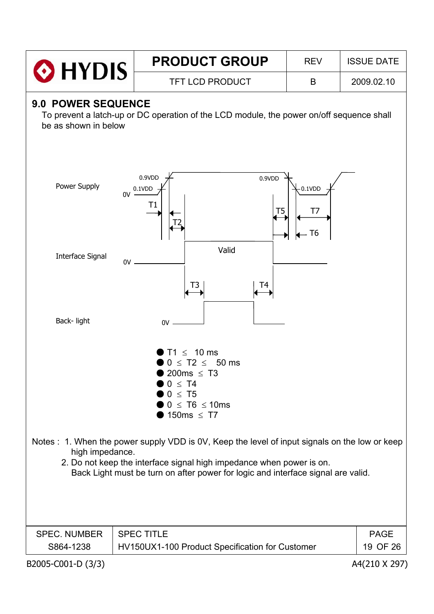|                                            |    | <b>PRODUCT GROUP</b>                                                                                                                                                                                                                                       | <b>REV</b>                     | <b>ISSUE DATE</b>       |
|--------------------------------------------|----|------------------------------------------------------------------------------------------------------------------------------------------------------------------------------------------------------------------------------------------------------------|--------------------------------|-------------------------|
| $\odot$ HYDIS                              |    | <b>TFT LCD PRODUCT</b>                                                                                                                                                                                                                                     | B                              | 2009.02.10              |
| 9.0 POWER SEQUENCE<br>be as shown in below |    | To prevent a latch-up or DC operation of the LCD module, the power on/off sequence shall                                                                                                                                                                   |                                |                         |
| Power Supply                               | 0V | 0.9VDD<br>0.9VDD<br>0.1VDD<br>Τ1<br>T <sub>5</sub>                                                                                                                                                                                                         | 0.1VDD<br>T7<br>T <sub>6</sub> |                         |
| <b>Interface Signal</b>                    | 0V | Valid<br>T4<br>T3                                                                                                                                                                                                                                          |                                |                         |
| Back-light                                 |    | 0V                                                                                                                                                                                                                                                         |                                |                         |
|                                            |    | $\leq$ 10 ms<br>$\leq$ T2 $\leq$ 50 ms<br>200ms $\leq$ T3<br>$0 \leq T4$<br>$0 \leq T5$<br>$0 \leq T6 \leq 10$ ms<br>150ms $\leq$ T7                                                                                                                       |                                |                         |
| high impedance.                            |    | Notes : 1. When the power supply VDD is 0V, Keep the level of input signals on the low or keep<br>2. Do not keep the interface signal high impedance when power is on.<br>Back Light must be turn on after power for logic and interface signal are valid. |                                |                         |
| <b>SPEC. NUMBER</b><br>S864-1238           |    | <b>SPEC TITLE</b><br>HV150UX1-100 Product Specification for Customer                                                                                                                                                                                       |                                | <b>PAGE</b><br>19 OF 26 |
| B2005-C001-D (3/3)                         |    |                                                                                                                                                                                                                                                            |                                | A4(210 X 297)           |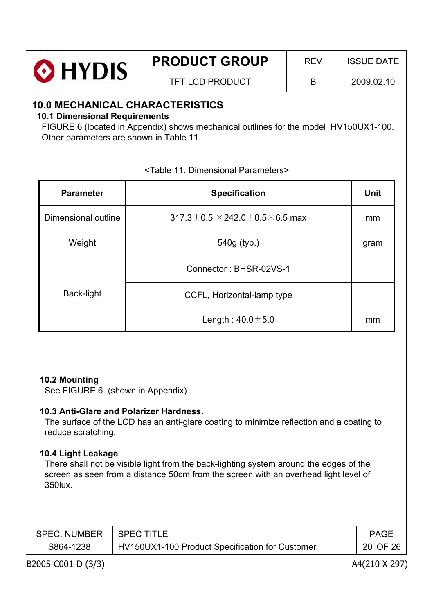| <b>O</b> HYDIS | <b>PRODUCT GROUP</b> | <b>RFV</b> | <b>ISSUE DATE</b> |
|----------------|----------------------|------------|-------------------|
|                | TFT LCD PRODUCT      | B          | 2009.02.10        |

# **10.0 MECHANICAL CHARACTERISTICS**

#### **10.1 Dimensional Requirements**

FIGURE 6 (located in Appendix) shows mechanical outlines for the model HV150UX1-100. Other parameters are shown in Table 11.

| <b>Parameter</b>    | <b>Specification</b>                                | <b>Unit</b> |
|---------------------|-----------------------------------------------------|-------------|
| Dimensional outline | $317.3 \pm 0.5 \times 242.0 \pm 0.5 \times 6.5$ max | mm          |
| Weight              | 540g (typ.)                                         | gram        |
| Back-light          | Connector: BHSR-02VS-1                              |             |
|                     | CCFL, Horizontal-lamp type                          |             |
|                     | Length: $40.0 \pm 5.0$                              | mm          |

#### <Table 11. Dimensional Parameters>

# **10.2 Mounting**

See FIGURE 6. (shown in Appendix)

#### **10.3 Anti-Glare and Polarizer Hardness.**

The surface of the LCD has an anti-glare coating to minimize reflection and a coating to reduce scratching.

#### **10.4 Light Leakage**

There shall not be visible light from the back-lighting system around the edges of the screen as seen from a distance 50cm from the screen with an overhead light level of 350lux.

| SPEC. NUMBER   SPEC TITLE |                                                 | PAGE     |
|---------------------------|-------------------------------------------------|----------|
| S864-1238                 | HV150UX1-100 Product Specification for Customer | 20 OF 26 |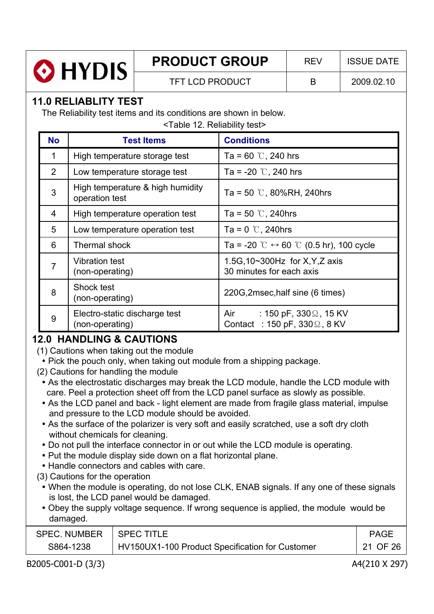

# **PRODUCT GROUP** REV ISSUE DATE

TFT LCD PRODUCT B 2009.02.10

# **11.0 RELIABLITY TEST**

The Reliability test items and its conditions are shown in below.

<Table 12. Reliability test>

| <b>No</b>      | <b>Test Items</b>                                  | <b>Conditions</b>                                                             |
|----------------|----------------------------------------------------|-------------------------------------------------------------------------------|
| 1              | High temperature storage test                      | Ta = 60 $\degree$ C, 240 hrs                                                  |
| 2              | Low temperature storage test                       | Ta = -20 $\degree$ C, 240 hrs                                                 |
| 3              | High temperature & high humidity<br>operation test | Ta = 50 $\degree$ C, 80%RH, 240hrs                                            |
| $\overline{4}$ | High temperature operation test                    | Ta = 50 $\degree$ C, 240hrs                                                   |
| 5              | Low temperature operation test                     | Ta = $0^\circ$ C, 240hrs                                                      |
| 6              | <b>Thermal shock</b>                               | Ta = -20 $\degree$ C $\leftrightarrow$ 60 $\degree$ C (0.5 hr), 100 cycle     |
| $\overline{7}$ | Vibration test<br>(non-operating)                  | 1.5G, 10~300Hz for X, Y, Z axis<br>30 minutes for each axis                   |
| 8              | Shock test<br>(non-operating)                      | 220G, 2msec, half sine (6 times)                                              |
| 9              | Electro-static discharge test<br>(non-operating)   | : 150 pF, 330 $\Omega$ , 15 KV<br>Air<br>Contact : 150 pF, $330\Omega$ , 8 KV |

# **12.0 HANDLING & CAUTIONS**

- (1) Cautions when taking out the module
	- Pick the pouch only, when taking out module from a shipping package.
- (2) Cautions for handling the module
	- As the electrostatic discharges may break the LCD module, handle the LCD module with care. Peel a protection sheet off from the LCD panel surface as slowly as possible.
	- As the LCD panel and back light element are made from fragile glass material, impulse and pressure to the LCD module should be avoided.
	- As the surface of the polarizer is very soft and easily scratched, use a soft dry cloth without chemicals for cleaning.
	- Do not pull the interface connector in or out while the LCD module is operating.
	- Put the module display side down on a flat horizontal plane.
	- Handle connectors and cables with care.
- (3) Cautions for the operation
	- When the module is operating, do not lose CLK, ENAB signals. If any one of these signals is lost, the LCD panel would be damaged.
	- Obey the supply voltage sequence. If wrong sequence is applied, the module would be damaged.

| <b>SPEC. NUMBER</b> | $\,$ SPEC TITLE                                 | <b>PAGE</b>         |
|---------------------|-------------------------------------------------|---------------------|
| S864-1238           | HV150UX1-100 Product Specification for Customer | $^{\circ}$ 21 OF 26 |

B2005-C001-D (3/3) A4(210 X 297)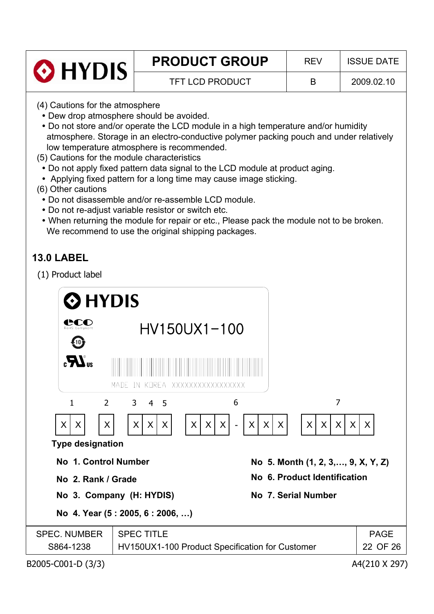

# **13.0 LABEL**

(1) Product label

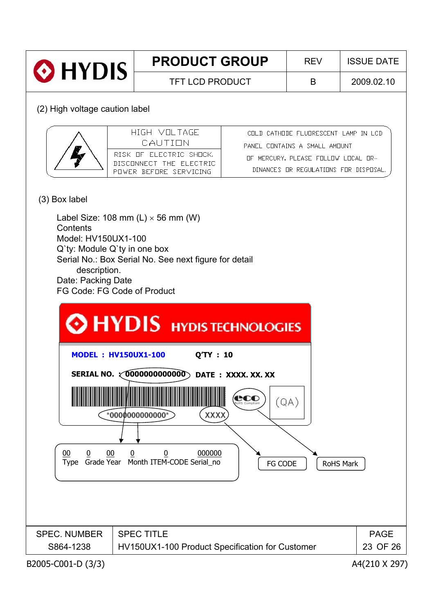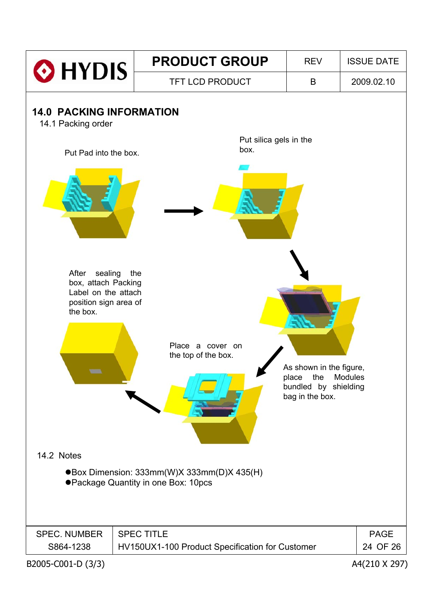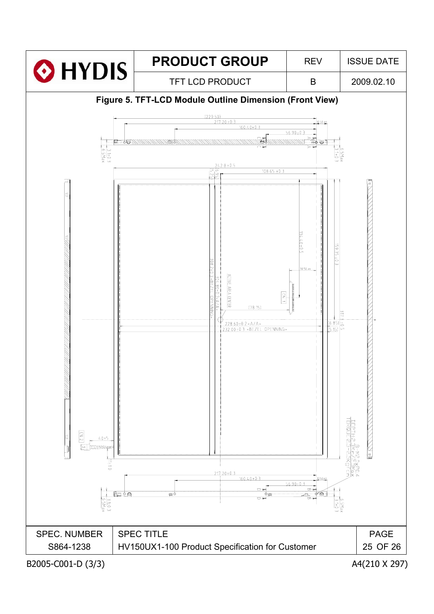